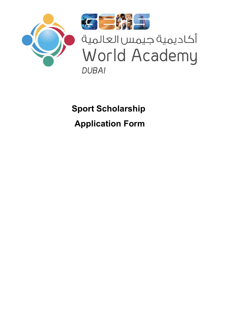



أكاديمية جيمس العالمية World Academy **DUBAI** 

**Sport Scholarship Application Form**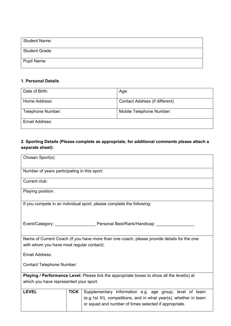## **Personal Details**

| <b>Student Name:</b>        |
|-----------------------------|
| <b>Student Grade:</b>       |
| Date First Enrolled at GWA: |

| Date of Birth:    | Age:                     |
|-------------------|--------------------------|
| Parent Name:      | Parent Email:            |
| Telephone Number: | Mobile Telephone Number: |
| Email Address:    |                          |

# **Sporting Details:**

| Chosen Sport(s):                                                                                                                        |             |                                                                                                                           |  |  |
|-----------------------------------------------------------------------------------------------------------------------------------------|-------------|---------------------------------------------------------------------------------------------------------------------------|--|--|
| Number of years participating in this sport:                                                                                            |             |                                                                                                                           |  |  |
| Current club:                                                                                                                           |             |                                                                                                                           |  |  |
| Playing position:                                                                                                                       |             |                                                                                                                           |  |  |
|                                                                                                                                         |             | If you compete in an individual sport, please complete the following:                                                     |  |  |
|                                                                                                                                         |             |                                                                                                                           |  |  |
| Name of Current Coach (if you have more than one coach, please provide details for the one with<br>whom you have most regular contact): |             |                                                                                                                           |  |  |
| Email Address:                                                                                                                          |             |                                                                                                                           |  |  |
| <b>Contact Number:</b>                                                                                                                  |             |                                                                                                                           |  |  |
| Playing / Performance Level: Please tick the appropriate boxes to show all the level(s)                                                 |             |                                                                                                                           |  |  |
| at which you have represented your sport.                                                                                               |             |                                                                                                                           |  |  |
| <b>LEVEL</b>                                                                                                                            | <b>TICK</b> | Supplementary Information e.g. age group, level of team                                                                   |  |  |
|                                                                                                                                         |             | (e.g.1st XI), competitions, and in what year(s), whether in team<br>or squad and number of times selected if appropriate. |  |  |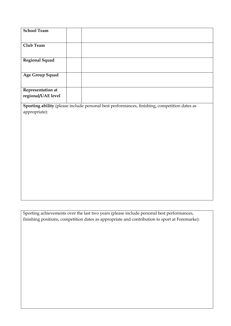| <b>School Team</b>                             |                                                                                                            |
|------------------------------------------------|------------------------------------------------------------------------------------------------------------|
| <b>Club Team</b>                               |                                                                                                            |
| <b>Regional Squad</b>                          |                                                                                                            |
| <b>Age Group Squad</b>                         |                                                                                                            |
| <b>Representation at</b><br>regional/UAE level |                                                                                                            |
|                                                | Sporting ability (please include personal best performances, finishing, competition dates as appropriate): |
|                                                |                                                                                                            |
|                                                |                                                                                                            |
|                                                |                                                                                                            |
|                                                |                                                                                                            |
|                                                |                                                                                                            |
|                                                |                                                                                                            |
|                                                |                                                                                                            |
|                                                |                                                                                                            |
|                                                |                                                                                                            |

Sporting achievements over the last two years (please include personal best performances, finishing positions, competition dates as appropriate and contribution to sport at Foremarke):